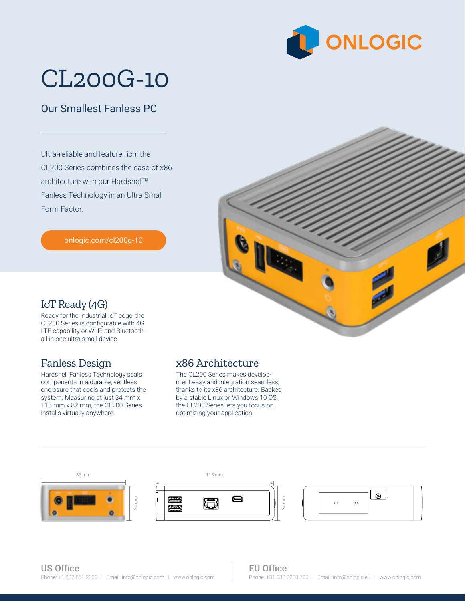

# CL200G-10

### Our Smallest Fanless PC

Ultra-reliable and feature rich, the CL200 Series combines the ease of x86 architecture with our Hardshell™ Fanless Technology in an Ultra Small Form Factor.

[onlogic.com/cl200g-10](https://www.onlogic.com/cl200g-10/)



#### IoT Ready (4G)

Ready for the Industrial IoT edge, the CL200 Series is configurable with 4G LTE capability or Wi-Fi and Bluetooth all in one ultra-small device.

#### Fanless Design

Hardshell Fanless Technology seals components in a durable, ventless enclosure that cools and protects the system. Measuring at just 34 mm x 115 mm x 82 mm, the CL200 Series installs virtually anywhere.

#### x86 Architecture

optimizing your application. The CL200 Series makes development easy and integration seamless, thanks to its x86 architecture. Backed by a stable Linux or Windows 10 OS, the CL200 Series lets you focus on



34 mm

#### EU Office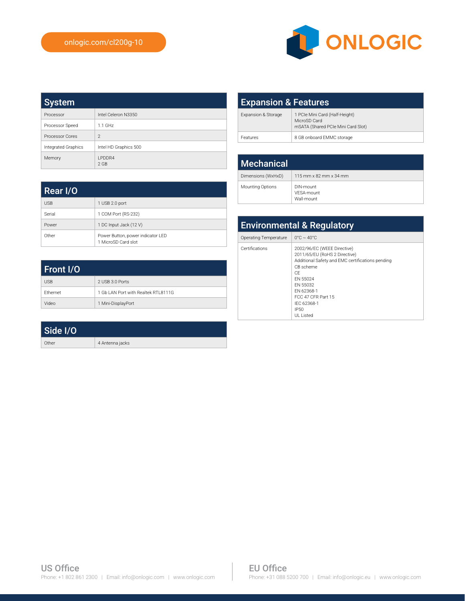Rear I/O

USB 1 USB 2.0 port Serial 1 COM Port (RS-232) Power 1 DC Input Jack (12 V)

Other Power Button, power indicator LED 1 MicroSD Card slot



| <b>System</b>       |                          |
|---------------------|--------------------------|
| Processor           | Intel Celeron N3350      |
| Processor Speed     | $1.1$ GHz                |
| Processor Cores     | $\mathfrak{D}$           |
| Integrated Graphics | Intel HD Graphics 500    |
| Memory              | <b>I PDDR4</b><br>$2$ GB |

| <b>Expansion &amp; Features</b> |                                                                                      |
|---------------------------------|--------------------------------------------------------------------------------------|
| Expansion & Storage             | 1 PCIe Mini Card (Half-Height)<br>MicroSD Card<br>mSATA (Shared PCIe Mini Card Slot) |
| Features                        | 8 GB onboard EMMC storage                                                            |

| <b>Mechanical</b>       |                                       |
|-------------------------|---------------------------------------|
| Dimensions (WxHxD)      | 115 mm x 82 mm x 34 mm                |
| <b>Mounting Options</b> | DIN-mount<br>VFSA-mount<br>Wall-mount |

| <b>Environmental &amp; Regulatory</b> |                                                                                                                                                                                                                                     |  |
|---------------------------------------|-------------------------------------------------------------------------------------------------------------------------------------------------------------------------------------------------------------------------------------|--|
| Operating Temperature                 | $0^{\circ}$ C ~ 40 $^{\circ}$ C                                                                                                                                                                                                     |  |
| Certifications                        | 2002/96/EC (WEEE Directive)<br>2011/65/EU (RoHS 2 Directive)<br>Additional Safety and EMC certifications pending<br>CB scheme<br>CF<br>FN 55024<br>FN 55032<br>FN 62368-1<br>FCC 47 CFR Part 15<br>IFC 62368-1<br>IP50<br>UL Listed |  |

| Front I/O       |                                      |
|-----------------|--------------------------------------|
| <b>USB</b>      | 2 USB 3.0 Ports                      |
| <b>Fthernet</b> | 1 Gb LAN Port with Realtek RTI 8111G |
| Video           | 1 Mini-DisplayPort                   |

| Side I/O |                 |
|----------|-----------------|
| Other    | 4 Antenna jacks |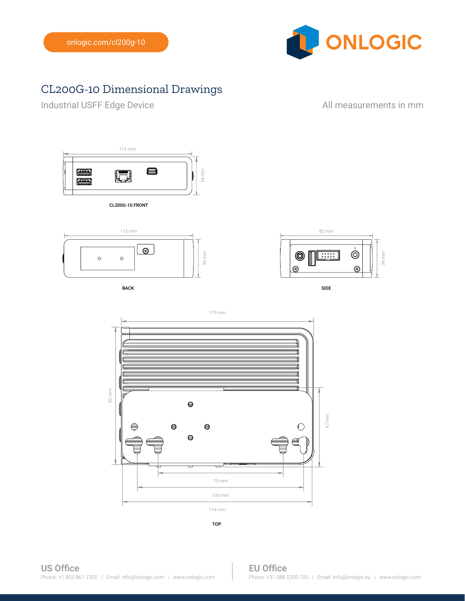

## CL200G-10 Dimensional Drawings

Industrial USFF Edge Device **All measurements in mm** 



CL200G-10 FRONT



BACK SIDE AND INTERNATIONAL SERVICES OF THE SIDE OF THE SIDE OF THE SIDE OF THE SIDE OF THE SIDE OF THE SIDE O